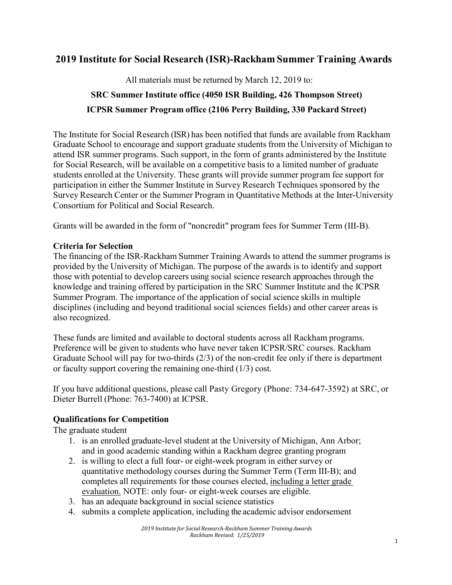## **2019 Institute for Social Research (ISR)-Rackham Summer Training Awards**

All materials must be returned by March 12, 2019 to:

# **SRC Summer Institute office (4050 ISR Building, 426 Thompson Street) ICPSR Summer Program office (2106 Perry Building, 330 Packard Street)**

The Institute for Social Research (ISR) has been notified that funds are available from Rackham Graduate School to encourage and support graduate students from the University of Michigan to attend ISR summer programs. Such support, in the form of grants administered by the Institute for Social Research, will be available on a competitive basis to a limited number of graduate students enrolled at the University. These grants will provide summer program fee support for participation in either the Summer Institute in Survey Research Techniques sponsored by the Survey Research Center or the Summer Program in Quantitative Methods at the Inter-University Consortium for Political and Social Research.

Grants will be awarded in the form of "noncredit" program fees for Summer Term (III-B).

### **Criteria for Selection**

The financing of the ISR-Rackham Summer Training Awards to attend the summer programs is provided by the University of Michigan. The purpose of the awards is to identify and support those with potential to develop careers using social science research approaches through the knowledge and training offered by participation in the SRC Summer Institute and the ICPSR Summer Program. The importance of the application of social science skills in multiple disciplines (including and beyond traditional social sciences fields) and other career areas is also recognized.

These funds are limited and available to doctoral students across all Rackham programs. Preference will be given to students who have never taken ICPSR/SRC courses. Rackham Graduate School will pay for two-thirds (2/3) of the non-credit fee only if there is department or faculty support covering the remaining one-third (1/3) cost.

If you have additional questions, please call Pasty Gregory (Phone: 734-647-3592) at SRC, or Dieter Burrell (Phone: 763-7400) at ICPSR.

## **Qualifications for Competition**

The graduate student

- 1. is an enrolled graduate-level student at the University of Michigan, Ann Arbor; and in good academic standing within a Rackham degree granting program
- 2. is willing to elect a full four- or eight-week program in either survey or quantitative methodology courses during the Summer Term (Term III-B); and completes all requirements for those courses elected, including a letter grade evaluation. NOTE: only four- or eight-week courses are eligible.
- 3. has an adequate background in social science statistics
- 4. submits a complete application, including the academic advisor endorsement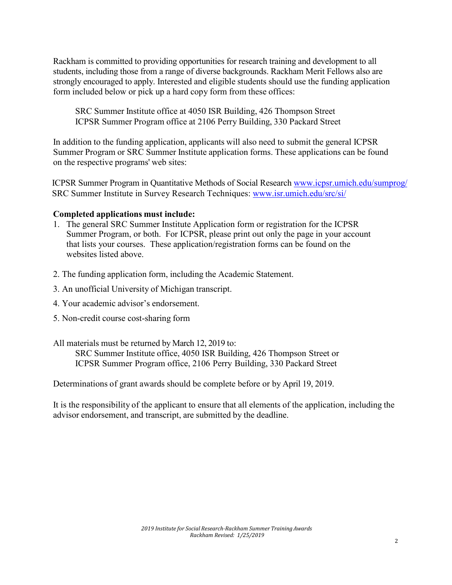Rackham is committed to providing opportunities for research training and development to all students, including those from a range of diverse backgrounds. Rackham Merit Fellows also are strongly encouraged to apply. Interested and eligible students should use the funding application form included below or pick up a hard copy form from these offices:

SRC Summer Institute office at 4050 ISR Building, 426 Thompson Street ICPSR Summer Program office at 2106 Perry Building, 330 Packard Street

In addition to the funding application, applicants will also need to submit the general ICPSR Summer Program or SRC Summer Institute application forms. These applications can be found on the respective programs' web sites:

ICPSR Summer Program in Quantitative Methods of Social Research [www.icpsr.umich.edu/sumprog/](http://www.icpsr.umich.edu/sumprog/) SRC Summer Institute in Survey Research Techniques: [www.isr.umich.edu/src/si/](http://www.isr.umich.edu/src/si/)

#### **Completed applications must include:**

- 1. The general SRC Summer Institute Application form or registration for the ICPSR Summer Program, or both. For ICPSR, please print out only the page in your account that lists your courses. These application/registration forms can be found on the websites listed above.
- 2. The funding application form, including the Academic Statement.
- 3. An unofficial University of Michigan transcript.
- 4. Your academic advisor's endorsement.
- 5. Non-credit course cost-sharing form
- All materials must be returned by March 12, 2019 to:

SRC Summer Institute office, 4050 ISR Building, 426 Thompson Street or ICPSR Summer Program office, 2106 Perry Building, 330 Packard Street

Determinations of grant awards should be complete before or by April 19, 2019.

It is the responsibility of the applicant to ensure that all elements of the application, including the advisor endorsement, and transcript, are submitted by the deadline.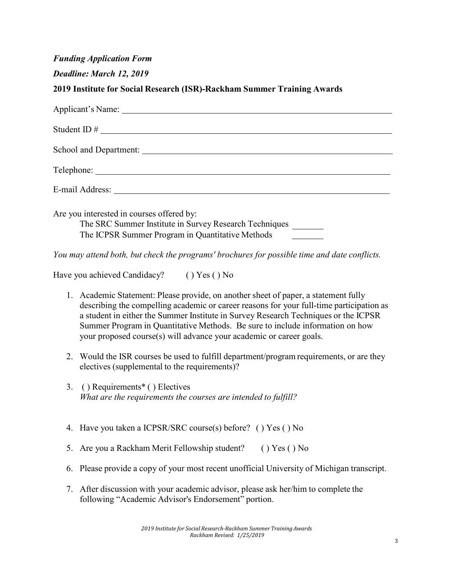|  |  | <b>Funding Application Form</b> |
|--|--|---------------------------------|
|  |  |                                 |

| Deadline: March 12, 2019 |  |  |  |
|--------------------------|--|--|--|
|--------------------------|--|--|--|

#### **2019 Institute for Social Research (ISR)-Rackham Summer Training Awards**

| Student ID $\#$                                                                                                                                                                                                                |
|--------------------------------------------------------------------------------------------------------------------------------------------------------------------------------------------------------------------------------|
|                                                                                                                                                                                                                                |
|                                                                                                                                                                                                                                |
|                                                                                                                                                                                                                                |
| E-mail Address: The Second Second Second Second Second Second Second Second Second Second Second Second Second Second Second Second Second Second Second Second Second Second Second Second Second Second Second Second Second |
| Are you interested in courses offered by:                                                                                                                                                                                      |
| The SRC Summer Institute in Survey Research Techniques                                                                                                                                                                         |
| The ICPSR Summer Program in Quantitative Methods                                                                                                                                                                               |
|                                                                                                                                                                                                                                |

*You may attend both, but check the programs' brochures for possible time and date conflicts.*

Have you achieved Candidacy? ( ) Yes ( ) No

- 1. Academic Statement: Please provide, on another sheet of paper, a statement fully describing the compelling academic or career reasons for your full-time participation as a student in either the Summer Institute in Survey Research Techniques or the ICPSR Summer Program in Quantitative Methods. Be sure to include information on how your proposed course(s) will advance your academic or career goals.
- 2. Would the ISR courses be used to fulfill department/program requirements, or are they electives (supplemental to the requirements)?
- 3. ( ) Requirements\* ( ) Electives *What are the requirements the courses are intended to fulfill?*
- 4. Have you taken a ICPSR/SRC course(s) before? ( ) Yes ( ) No
- 5. Are you a Rackham Merit Fellowship student? ( ) Yes ( ) No
- 6. Please provide a copy of your most recent unofficial University of Michigan transcript.
- 7. After discussion with your academic advisor, please ask her/him to complete the following "Academic Advisor's Endorsement" portion.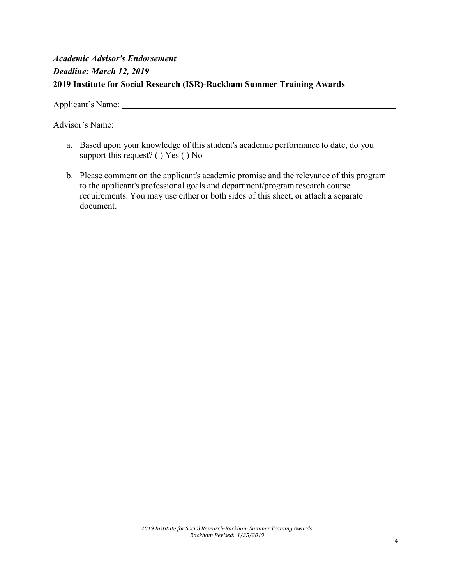# *Academic Advisor's Endorsement Deadline: March 12, 2019* **2019 Institute for Social Research (ISR)-Rackham Summer Training Awards**

Applicant's Name:

Advisor's Name:

- a. Based upon your knowledge of this student's academic performance to date, do you support this request? ( ) Yes ( ) No
- b. Please comment on the applicant's academic promise and the relevance of this program to the applicant's professional goals and department/program research course requirements. You may use either or both sides of this sheet, or attach a separate document.